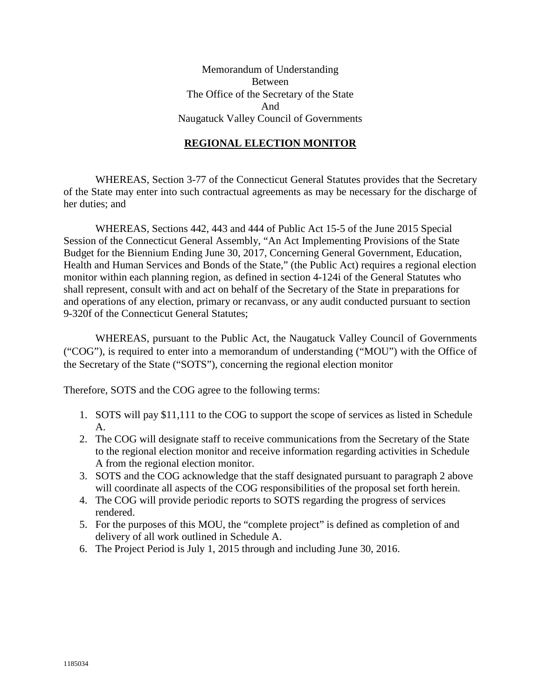Memorandum of Understanding Between The Office of the Secretary of the State And Naugatuck Valley Council of Governments

#### **REGIONAL ELECTION MONITOR**

WHEREAS, Section 3-77 of the Connecticut General Statutes provides that the Secretary of the State may enter into such contractual agreements as may be necessary for the discharge of her duties; and

WHEREAS, Sections 442, 443 and 444 of Public Act 15-5 of the June 2015 Special Session of the Connecticut General Assembly, "An Act Implementing Provisions of the State Budget for the Biennium Ending June 30, 2017, Concerning General Government, Education, Health and Human Services and Bonds of the State," (the Public Act) requires a regional election monitor within each planning region, as defined in section 4-124i of the General Statutes who shall represent, consult with and act on behalf of the Secretary of the State in preparations for and operations of any election, primary or recanvass, or any audit conducted pursuant to section 9-320f of the Connecticut General Statutes;

WHEREAS, pursuant to the Public Act, the Naugatuck Valley Council of Governments ("COG"), is required to enter into a memorandum of understanding ("MOU") with the Office of the Secretary of the State ("SOTS"), concerning the regional election monitor

Therefore, SOTS and the COG agree to the following terms:

- 1. SOTS will pay \$11,111 to the COG to support the scope of services as listed in Schedule A.
- 2. The COG will designate staff to receive communications from the Secretary of the State to the regional election monitor and receive information regarding activities in Schedule A from the regional election monitor.
- 3. SOTS and the COG acknowledge that the staff designated pursuant to paragraph 2 above will coordinate all aspects of the COG responsibilities of the proposal set forth herein.
- 4. The COG will provide periodic reports to SOTS regarding the progress of services rendered.
- 5. For the purposes of this MOU, the "complete project" is defined as completion of and delivery of all work outlined in Schedule A.
- 6. The Project Period is July 1, 2015 through and including June 30, 2016.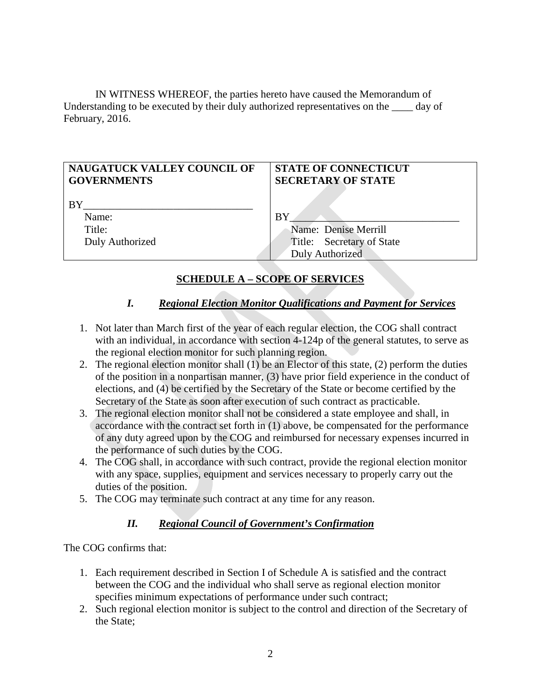IN WITNESS WHEREOF, the parties hereto have caused the Memorandum of Understanding to be executed by their duly authorized representatives on the \_\_\_\_ day of February, 2016.

| <b>NAUGATUCK VALLEY COUNCIL OF</b><br><b>GOVERNMENTS</b> | <b>STATE OF CONNECTICUT</b><br><b>SECRETARY OF STATE</b> |
|----------------------------------------------------------|----------------------------------------------------------|
| BY                                                       |                                                          |
| Name:                                                    | <b>BY</b>                                                |
| Title:                                                   | Name: Denise Merrill                                     |
| Duly Authorized                                          | Title: Secretary of State                                |
|                                                          | Duly Authorized                                          |

# **SCHEDULE A – SCOPE OF SERVICES**

## *I. Regional Election Monitor Qualifications and Payment for Services*

- 1. Not later than March first of the year of each regular election, the COG shall contract with an individual, in accordance with section 4-124p of the general statutes, to serve as the regional election monitor for such planning region.
- 2. The regional election monitor shall (1) be an Elector of this state, (2) perform the duties of the position in a nonpartisan manner, (3) have prior field experience in the conduct of elections, and (4) be certified by the Secretary of the State or become certified by the Secretary of the State as soon after execution of such contract as practicable.
- 3. The regional election monitor shall not be considered a state employee and shall, in accordance with the contract set forth in (1) above, be compensated for the performance of any duty agreed upon by the COG and reimbursed for necessary expenses incurred in the performance of such duties by the COG.
- 4. The COG shall, in accordance with such contract, provide the regional election monitor with any space, supplies, equipment and services necessary to properly carry out the duties of the position.
- 5. The COG may terminate such contract at any time for any reason.

### *II. Regional Council of Government's Confirmation*

The COG confirms that:

- 1. Each requirement described in Section I of Schedule A is satisfied and the contract between the COG and the individual who shall serve as regional election monitor specifies minimum expectations of performance under such contract;
- 2. Such regional election monitor is subject to the control and direction of the Secretary of the State;